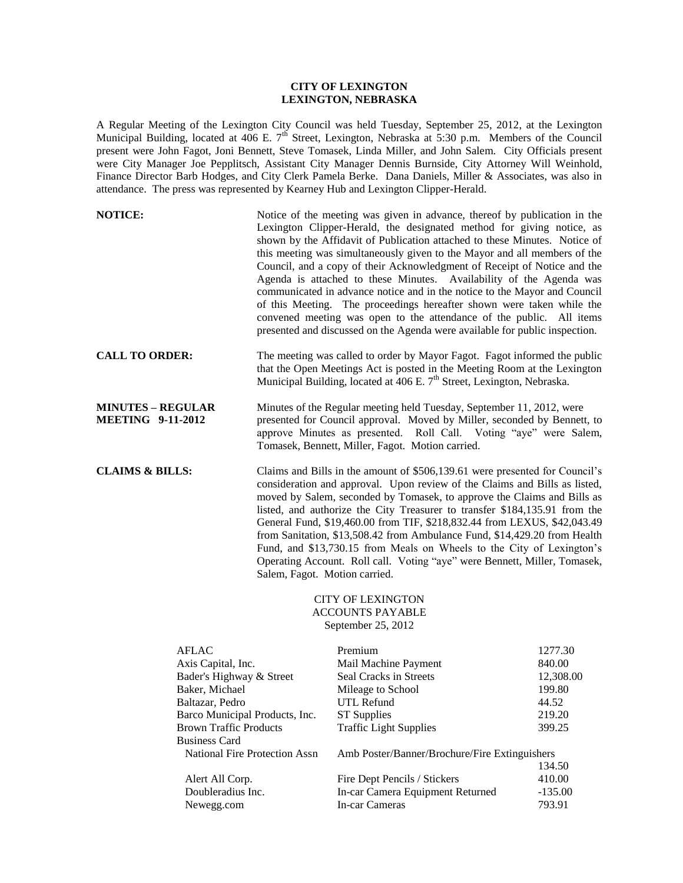## **CITY OF LEXINGTON LEXINGTON, NEBRASKA**

A Regular Meeting of the Lexington City Council was held Tuesday, September 25, 2012, at the Lexington Municipal Building, located at  $406$  E.  $7<sup>th</sup>$  Street, Lexington, Nebraska at 5:30 p.m. Members of the Council present were John Fagot, Joni Bennett, Steve Tomasek, Linda Miller, and John Salem. City Officials present were City Manager Joe Pepplitsch, Assistant City Manager Dennis Burnside, City Attorney Will Weinhold, Finance Director Barb Hodges, and City Clerk Pamela Berke. Dana Daniels, Miller & Associates, was also in attendance. The press was represented by Kearney Hub and Lexington Clipper-Herald.

| <b>NOTICE:</b>                                       | Notice of the meeting was given in advance, thereof by publication in the<br>Lexington Clipper-Herald, the designated method for giving notice, as<br>shown by the Affidavit of Publication attached to these Minutes. Notice of<br>this meeting was simultaneously given to the Mayor and all members of the<br>Council, and a copy of their Acknowledgment of Receipt of Notice and the<br>Agenda is attached to these Minutes. Availability of the Agenda was<br>communicated in advance notice and in the notice to the Mayor and Council<br>of this Meeting. The proceedings hereafter shown were taken while the<br>convened meeting was open to the attendance of the public. All items<br>presented and discussed on the Agenda were available for public inspection. |
|------------------------------------------------------|-------------------------------------------------------------------------------------------------------------------------------------------------------------------------------------------------------------------------------------------------------------------------------------------------------------------------------------------------------------------------------------------------------------------------------------------------------------------------------------------------------------------------------------------------------------------------------------------------------------------------------------------------------------------------------------------------------------------------------------------------------------------------------|
| <b>CALL TO ORDER:</b>                                | The meeting was called to order by Mayor Fagot. Fagot informed the public<br>that the Open Meetings Act is posted in the Meeting Room at the Lexington<br>Municipal Building, located at 406 E. 7 <sup>th</sup> Street, Lexington, Nebraska.                                                                                                                                                                                                                                                                                                                                                                                                                                                                                                                                  |
| <b>MINUTES - REGULAR</b><br><b>MEETING 9-11-2012</b> | Minutes of the Regular meeting held Tuesday, September 11, 2012, were<br>presented for Council approval. Moved by Miller, seconded by Bennett, to<br>approve Minutes as presented. Roll Call. Voting "aye" were Salem,<br>Tomasek, Bennett, Miller, Fagot. Motion carried.                                                                                                                                                                                                                                                                                                                                                                                                                                                                                                    |
| <b>CLAIMS &amp; BILLS:</b>                           | Claims and Bills in the amount of \$506,139.61 were presented for Council's<br>consideration and approval. Upon review of the Claims and Bills as listed,<br>moved by Salem, seconded by Tomasek, to approve the Claims and Bills as<br>listed, and authorize the City Treasurer to transfer \$184,135.91 from the<br>General Fund, \$19,460.00 from TIF, \$218,832.44 from LEXUS, \$42,043.49<br>from Sanitation, \$13,508.42 from Ambulance Fund, \$14,429.20 from Health<br>Fund, and \$13,730.15 from Meals on Wheels to the City of Lexington's<br>Operating Account. Roll call. Voting "aye" were Bennett, Miller, Tomasek,<br>Salem, Fagot. Motion carried.                                                                                                            |

# CITY OF LEXINGTON ACCOUNTS PAYABLE September 25, 2012

| AFLAC                          | Premium                                       | 1277.30   |
|--------------------------------|-----------------------------------------------|-----------|
| Axis Capital, Inc.             | Mail Machine Payment                          | 840.00    |
| Bader's Highway & Street       | Seal Cracks in Streets                        | 12,308.00 |
| Baker, Michael                 | Mileage to School                             | 199.80    |
| Baltazar, Pedro                | UTL Refund                                    | 44.52     |
| Barco Municipal Products, Inc. | <b>ST</b> Supplies                            | 219.20    |
| <b>Brown Traffic Products</b>  | <b>Traffic Light Supplies</b>                 | 399.25    |
| <b>Business Card</b>           |                                               |           |
| National Fire Protection Assn  | Amb Poster/Banner/Brochure/Fire Extinguishers |           |
|                                |                                               | 134.50    |
| Alert All Corp.                | Fire Dept Pencils / Stickers                  | 410.00    |
| Doubleradius Inc.              | In-car Camera Equipment Returned              | $-135.00$ |
| Newegg.com                     | In-car Cameras                                | 793.91    |
|                                |                                               |           |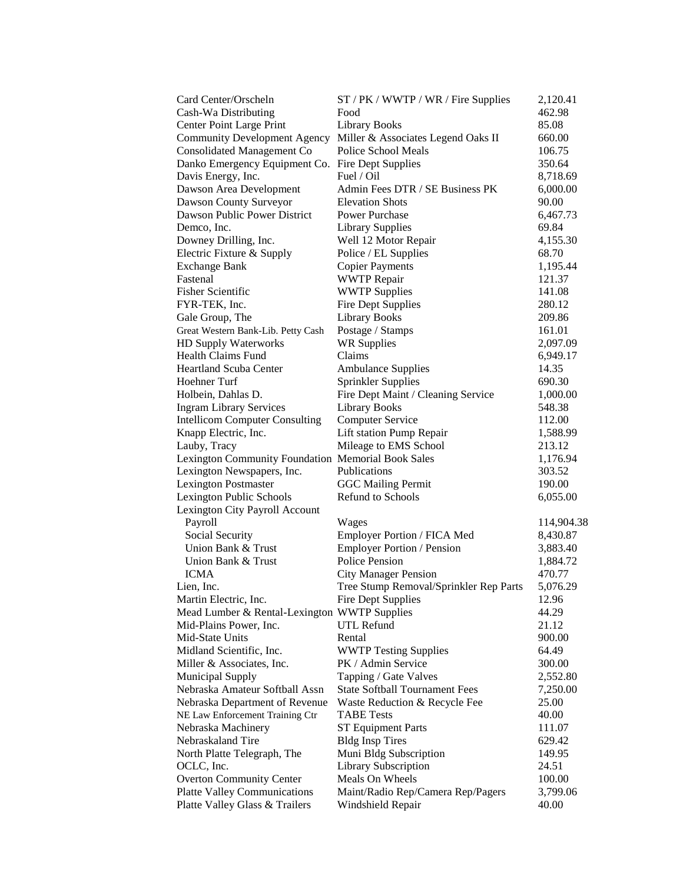| Card Center/Orscheln                               | ST / PK / WWTP / WR / Fire Supplies                             | 2,120.41   |
|----------------------------------------------------|-----------------------------------------------------------------|------------|
| Cash-Wa Distributing                               | Food                                                            | 462.98     |
| <b>Center Point Large Print</b>                    | <b>Library Books</b>                                            | 85.08      |
|                                                    | Community Development Agency Miller & Associates Legend Oaks II | 660.00     |
| Consolidated Management Co                         | Police School Meals                                             | 106.75     |
| Danko Emergency Equipment Co. Fire Dept Supplies   |                                                                 | 350.64     |
| Davis Energy, Inc.                                 | Fuel / Oil                                                      | 8,718.69   |
| Dawson Area Development                            | Admin Fees DTR / SE Business PK                                 | 6,000.00   |
| Dawson County Surveyor                             | <b>Elevation Shots</b>                                          | 90.00      |
| Dawson Public Power District                       | <b>Power Purchase</b>                                           | 6,467.73   |
| Demco, Inc.                                        | <b>Library Supplies</b>                                         | 69.84      |
| Downey Drilling, Inc.                              | Well 12 Motor Repair                                            | 4,155.30   |
| Electric Fixture & Supply                          | Police / EL Supplies                                            | 68.70      |
| <b>Exchange Bank</b>                               | <b>Copier Payments</b>                                          | 1,195.44   |
| Fastenal                                           | <b>WWTP</b> Repair                                              | 121.37     |
| <b>Fisher Scientific</b>                           | <b>WWTP Supplies</b>                                            | 141.08     |
| FYR-TEK, Inc.                                      | <b>Fire Dept Supplies</b>                                       | 280.12     |
| Gale Group, The                                    | <b>Library Books</b>                                            | 209.86     |
| Great Western Bank-Lib. Petty Cash                 | Postage / Stamps                                                | 161.01     |
| HD Supply Waterworks                               | <b>WR Supplies</b>                                              | 2,097.09   |
| Health Claims Fund                                 | Claims                                                          | 6,949.17   |
| <b>Heartland Scuba Center</b>                      | <b>Ambulance Supplies</b>                                       | 14.35      |
| Hoehner Turf                                       | <b>Sprinkler Supplies</b>                                       | 690.30     |
| Holbein, Dahlas D.                                 | Fire Dept Maint / Cleaning Service                              | 1,000.00   |
| <b>Ingram Library Services</b>                     | <b>Library Books</b>                                            | 548.38     |
| <b>Intellicom Computer Consulting</b>              | <b>Computer Service</b>                                         | 112.00     |
| Knapp Electric, Inc.                               | Lift station Pump Repair                                        | 1,588.99   |
| Lauby, Tracy                                       | Mileage to EMS School                                           | 213.12     |
| Lexington Community Foundation Memorial Book Sales |                                                                 | 1,176.94   |
| Lexington Newspapers, Inc.                         | Publications                                                    | 303.52     |
| <b>Lexington Postmaster</b>                        | <b>GGC Mailing Permit</b>                                       | 190.00     |
| Lexington Public Schools                           | <b>Refund to Schools</b>                                        | 6,055.00   |
| Lexington City Payroll Account                     |                                                                 |            |
| Payroll                                            | Wages                                                           | 114,904.38 |
| Social Security                                    | Employer Portion / FICA Med                                     | 8,430.87   |
| Union Bank & Trust                                 | <b>Employer Portion / Pension</b>                               | 3,883.40   |
| Union Bank & Trust                                 | <b>Police Pension</b>                                           | 1,884.72   |
| <b>ICMA</b>                                        | <b>City Manager Pension</b>                                     | 470.77     |
| Lien, Inc.                                         | Tree Stump Removal/Sprinkler Rep Parts                          | 5,076.29   |
| Martin Electric, Inc.                              | <b>Fire Dept Supplies</b>                                       | 12.96      |
| Mead Lumber & Rental-Lexington WWTP Supplies       |                                                                 | 44.29      |
| Mid-Plains Power, Inc.                             | <b>UTL Refund</b>                                               | 21.12      |
| Mid-State Units                                    | Rental                                                          | 900.00     |
| Midland Scientific, Inc.                           | <b>WWTP Testing Supplies</b>                                    | 64.49      |
| Miller & Associates, Inc.                          | PK / Admin Service                                              | 300.00     |
| <b>Municipal Supply</b>                            | Tapping / Gate Valves                                           | 2,552.80   |
| Nebraska Amateur Softball Assn                     | <b>State Softball Tournament Fees</b>                           | 7,250.00   |
| Nebraska Department of Revenue                     | Waste Reduction & Recycle Fee                                   | 25.00      |
| NE Law Enforcement Training Ctr                    | <b>TABE Tests</b>                                               | 40.00      |
| Nebraska Machinery                                 | <b>ST Equipment Parts</b>                                       | 111.07     |
| Nebraskaland Tire                                  | <b>Bldg Insp Tires</b>                                          | 629.42     |
| North Platte Telegraph, The                        | Muni Bldg Subscription                                          | 149.95     |
| OCLC, Inc.                                         | Library Subscription                                            | 24.51      |
| <b>Overton Community Center</b>                    | Meals On Wheels                                                 | 100.00     |
| <b>Platte Valley Communications</b>                | Maint/Radio Rep/Camera Rep/Pagers                               | 3,799.06   |
| Platte Valley Glass & Trailers                     | Windshield Repair                                               | 40.00      |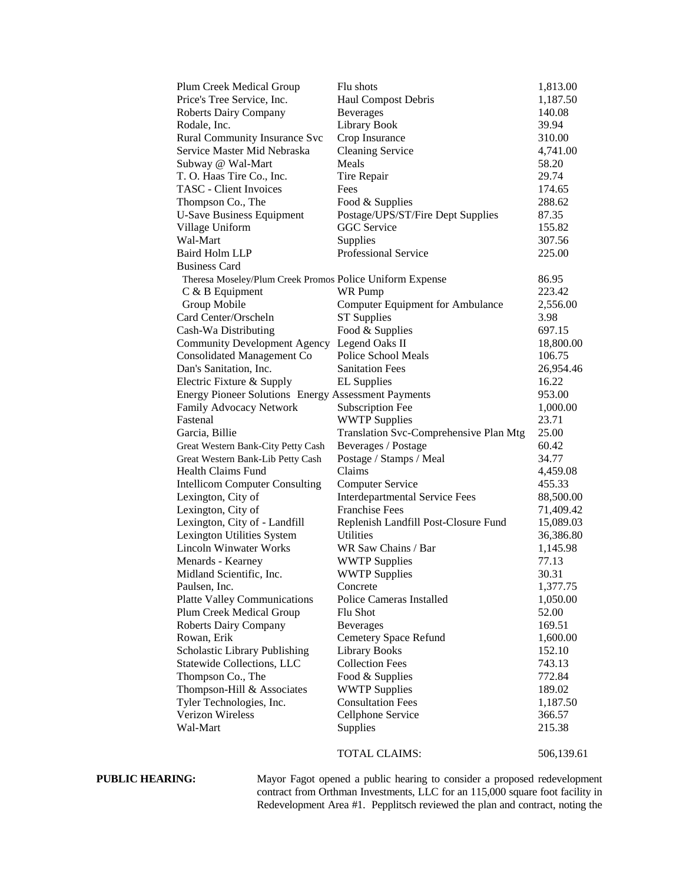| Plum Creek Medical Group                                   | Flu shots                                                      | 1,813.00   |
|------------------------------------------------------------|----------------------------------------------------------------|------------|
| Price's Tree Service, Inc.                                 | Haul Compost Debris                                            | 1,187.50   |
| <b>Roberts Dairy Company</b>                               | <b>Beverages</b>                                               | 140.08     |
| Rodale, Inc.                                               | <b>Library Book</b>                                            | 39.94      |
| <b>Rural Community Insurance Svc</b>                       | Crop Insurance                                                 | 310.00     |
| Service Master Mid Nebraska                                | <b>Cleaning Service</b>                                        | 4,741.00   |
| Subway @ Wal-Mart                                          | Meals                                                          | 58.20      |
| T. O. Haas Tire Co., Inc.                                  | Tire Repair                                                    | 29.74      |
| <b>TASC</b> - Client Invoices                              | Fees                                                           | 174.65     |
| Thompson Co., The                                          | Food & Supplies                                                | 288.62     |
| <b>U-Save Business Equipment</b>                           | Postage/UPS/ST/Fire Dept Supplies                              | 87.35      |
| Village Uniform                                            | <b>GGC</b> Service                                             | 155.82     |
| Wal-Mart                                                   | Supplies                                                       | 307.56     |
| <b>Baird Holm LLP</b>                                      | <b>Professional Service</b>                                    | 225.00     |
| <b>Business Card</b>                                       |                                                                |            |
| Theresa Moseley/Plum Creek Promos Police Uniform Expense   |                                                                | 86.95      |
| C & B Equipment                                            | <b>WR Pump</b>                                                 | 223.42     |
| Group Mobile                                               | <b>Computer Equipment for Ambulance</b>                        | 2,556.00   |
| Card Center/Orscheln                                       | <b>ST Supplies</b>                                             | 3.98       |
| Cash-Wa Distributing                                       | Food & Supplies                                                | 697.15     |
| <b>Community Development Agency</b>                        | Legend Oaks II                                                 | 18,800.00  |
| <b>Consolidated Management Co</b>                          | Police School Meals                                            | 106.75     |
| Dan's Sanitation, Inc.                                     | <b>Sanitation Fees</b>                                         | 26,954.46  |
| Electric Fixture & Supply                                  | <b>EL Supplies</b>                                             | 16.22      |
| <b>Energy Pioneer Solutions Energy Assessment Payments</b> |                                                                | 953.00     |
| Family Advocacy Network                                    | Subscription Fee                                               | 1,000.00   |
| Fastenal                                                   | <b>WWTP Supplies</b>                                           | 23.71      |
| Garcia, Billie                                             | Translation Svc-Comprehensive Plan Mtg                         | 25.00      |
| Great Western Bank-City Petty Cash                         | Beverages / Postage                                            | 60.42      |
| Great Western Bank-Lib Petty Cash                          | Postage / Stamps / Meal                                        | 34.77      |
| <b>Health Claims Fund</b>                                  | Claims                                                         | 4,459.08   |
|                                                            |                                                                |            |
| <b>Intellicom Computer Consulting</b>                      | <b>Computer Service</b>                                        | 455.33     |
| Lexington, City of                                         | <b>Interdepartmental Service Fees</b><br><b>Franchise Fees</b> | 88,500.00  |
| Lexington, City of                                         |                                                                | 71,409.42  |
| Lexington, City of - Landfill                              | Replenish Landfill Post-Closure Fund                           | 15,089.03  |
| Lexington Utilities System                                 | Utilities                                                      | 36,386.80  |
| <b>Lincoln Winwater Works</b>                              | WR Saw Chains / Bar                                            | 1,145.98   |
| Menards - Kearney                                          | <b>WWTP Supplies</b>                                           | 77.13      |
| Midland Scientific, Inc.                                   | <b>WWTP Supplies</b>                                           | 30.31      |
| Paulsen, Inc.                                              | Concrete                                                       | 1,377.75   |
| <b>Platte Valley Communications</b>                        | <b>Police Cameras Installed</b>                                | 1,050.00   |
| Plum Creek Medical Group                                   | Flu Shot                                                       | 52.00      |
| <b>Roberts Dairy Company</b>                               | <b>Beverages</b>                                               | 169.51     |
| Rowan, Erik                                                | <b>Cemetery Space Refund</b>                                   | 1,600.00   |
| Scholastic Library Publishing                              | <b>Library Books</b>                                           | 152.10     |
| Statewide Collections, LLC                                 | <b>Collection Fees</b>                                         | 743.13     |
| Thompson Co., The                                          | Food & Supplies                                                | 772.84     |
| Thompson-Hill & Associates                                 | <b>WWTP Supplies</b>                                           | 189.02     |
| Tyler Technologies, Inc.                                   | <b>Consultation Fees</b>                                       | 1,187.50   |
| Verizon Wireless                                           | Cellphone Service                                              | 366.57     |
| Wal-Mart                                                   | <b>Supplies</b>                                                | 215.38     |
|                                                            | TOTAL CLAIMS:                                                  | 506,139.61 |

**PUBLIC HEARING:** Mayor Fagot opened a public hearing to consider a proposed redevelopment contract from Orthman Investments, LLC for an 115,000 square foot facility in Redevelopment Area #1. Pepplitsch reviewed the plan and contract, noting the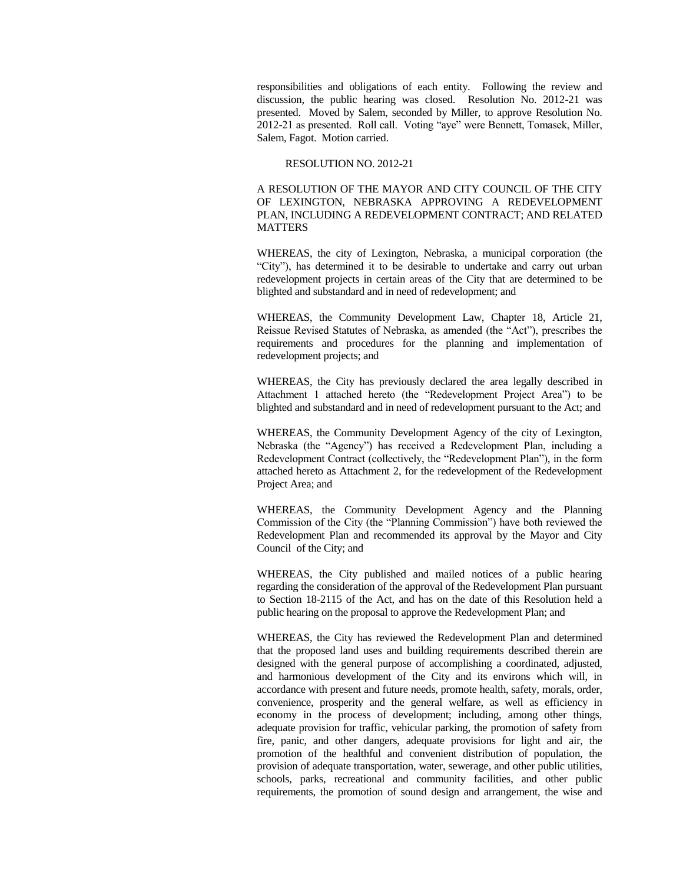responsibilities and obligations of each entity. Following the review and discussion, the public hearing was closed. Resolution No. 2012-21 was presented. Moved by Salem, seconded by Miller, to approve Resolution No. 2012-21 as presented. Roll call. Voting "aye" were Bennett, Tomasek, Miller, Salem, Fagot. Motion carried.

### RESOLUTION NO. 2012-21

A RESOLUTION OF THE MAYOR AND CITY COUNCIL OF THE CITY OF LEXINGTON, NEBRASKA APPROVING A REDEVELOPMENT PLAN, INCLUDING A REDEVELOPMENT CONTRACT; AND RELATED **MATTERS** 

WHEREAS, the city of Lexington, Nebraska, a municipal corporation (the "City"), has determined it to be desirable to undertake and carry out urban redevelopment projects in certain areas of the City that are determined to be blighted and substandard and in need of redevelopment; and

WHEREAS, the Community Development Law, Chapter 18, Article 21, Reissue Revised Statutes of Nebraska, as amended (the "Act"), prescribes the requirements and procedures for the planning and implementation of redevelopment projects; and

WHEREAS, the City has previously declared the area legally described in Attachment 1 attached hereto (the "Redevelopment Project Area") to be blighted and substandard and in need of redevelopment pursuant to the Act; and

WHEREAS, the Community Development Agency of the city of Lexington, Nebraska (the "Agency") has received a Redevelopment Plan, including a Redevelopment Contract (collectively, the "Redevelopment Plan"), in the form attached hereto as Attachment 2, for the redevelopment of the Redevelopment Project Area; and

WHEREAS, the Community Development Agency and the Planning Commission of the City (the "Planning Commission") have both reviewed the Redevelopment Plan and recommended its approval by the Mayor and City Council of the City; and

WHEREAS, the City published and mailed notices of a public hearing regarding the consideration of the approval of the Redevelopment Plan pursuant to Section 18-2115 of the Act, and has on the date of this Resolution held a public hearing on the proposal to approve the Redevelopment Plan; and

WHEREAS, the City has reviewed the Redevelopment Plan and determined that the proposed land uses and building requirements described therein are designed with the general purpose of accomplishing a coordinated, adjusted, and harmonious development of the City and its environs which will, in accordance with present and future needs, promote health, safety, morals, order, convenience, prosperity and the general welfare, as well as efficiency in economy in the process of development; including, among other things, adequate provision for traffic, vehicular parking, the promotion of safety from fire, panic, and other dangers, adequate provisions for light and air, the promotion of the healthful and convenient distribution of population, the provision of adequate transportation, water, sewerage, and other public utilities, schools, parks, recreational and community facilities, and other public requirements, the promotion of sound design and arrangement, the wise and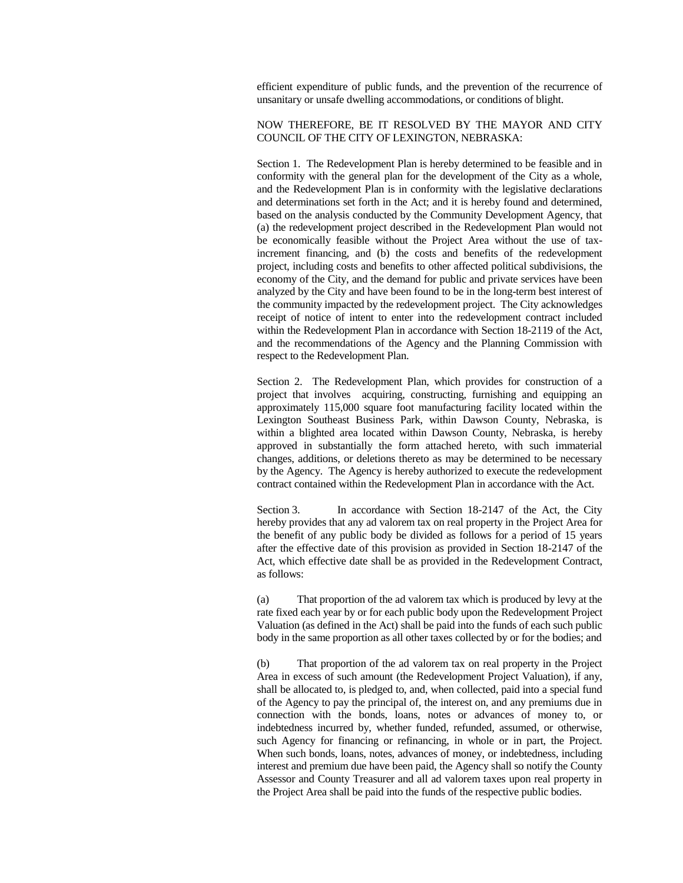efficient expenditure of public funds, and the prevention of the recurrence of unsanitary or unsafe dwelling accommodations, or conditions of blight.

## NOW THEREFORE, BE IT RESOLVED BY THE MAYOR AND CITY COUNCIL OF THE CITY OF LEXINGTON, NEBRASKA:

Section 1. The Redevelopment Plan is hereby determined to be feasible and in conformity with the general plan for the development of the City as a whole, and the Redevelopment Plan is in conformity with the legislative declarations and determinations set forth in the Act; and it is hereby found and determined, based on the analysis conducted by the Community Development Agency, that (a) the redevelopment project described in the Redevelopment Plan would not be economically feasible without the Project Area without the use of taxincrement financing, and (b) the costs and benefits of the redevelopment project, including costs and benefits to other affected political subdivisions, the economy of the City, and the demand for public and private services have been analyzed by the City and have been found to be in the long-term best interest of the community impacted by the redevelopment project. The City acknowledges receipt of notice of intent to enter into the redevelopment contract included within the Redevelopment Plan in accordance with Section 18-2119 of the Act, and the recommendations of the Agency and the Planning Commission with respect to the Redevelopment Plan.

Section 2. The Redevelopment Plan, which provides for construction of a project that involves acquiring, constructing, furnishing and equipping an approximately 115,000 square foot manufacturing facility located within the Lexington Southeast Business Park, within Dawson County, Nebraska, is within a blighted area located within Dawson County, Nebraska, is hereby approved in substantially the form attached hereto, with such immaterial changes, additions, or deletions thereto as may be determined to be necessary by the Agency. The Agency is hereby authorized to execute the redevelopment contract contained within the Redevelopment Plan in accordance with the Act.

Section 3. In accordance with Section 18-2147 of the Act, the City hereby provides that any ad valorem tax on real property in the Project Area for the benefit of any public body be divided as follows for a period of 15 years after the effective date of this provision as provided in Section 18-2147 of the Act, which effective date shall be as provided in the Redevelopment Contract, as follows:

(a) That proportion of the ad valorem tax which is produced by levy at the rate fixed each year by or for each public body upon the Redevelopment Project Valuation (as defined in the Act) shall be paid into the funds of each such public body in the same proportion as all other taxes collected by or for the bodies; and

(b) That proportion of the ad valorem tax on real property in the Project Area in excess of such amount (the Redevelopment Project Valuation), if any, shall be allocated to, is pledged to, and, when collected, paid into a special fund of the Agency to pay the principal of, the interest on, and any premiums due in connection with the bonds, loans, notes or advances of money to, or indebtedness incurred by, whether funded, refunded, assumed, or otherwise, such Agency for financing or refinancing, in whole or in part, the Project. When such bonds, loans, notes, advances of money, or indebtedness, including interest and premium due have been paid, the Agency shall so notify the County Assessor and County Treasurer and all ad valorem taxes upon real property in the Project Area shall be paid into the funds of the respective public bodies.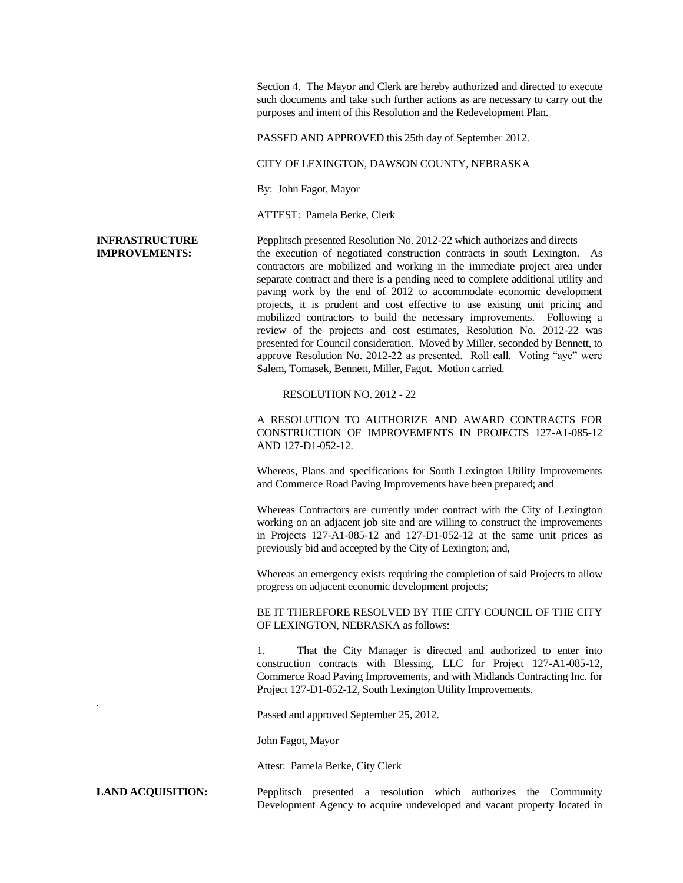Section 4. The Mayor and Clerk are hereby authorized and directed to execute such documents and take such further actions as are necessary to carry out the purposes and intent of this Resolution and the Redevelopment Plan.

PASSED AND APPROVED this 25th day of September 2012.

CITY OF LEXINGTON, DAWSON COUNTY, NEBRASKA

By: John Fagot, Mayor

ATTEST: Pamela Berke, Clerk

.

**INFRASTRUCTURE** Pepplitsch presented Resolution No. 2012-22 which authorizes and directs **IMPROVEMENTS:** the execution of negotiated construction contracts in south Lexington. As contractors are mobilized and working in the immediate project area under separate contract and there is a pending need to complete additional utility and paving work by the end of 2012 to accommodate economic development projects, it is prudent and cost effective to use existing unit pricing and mobilized contractors to build the necessary improvements. Following a review of the projects and cost estimates, Resolution No. 2012-22 was presented for Council consideration. Moved by Miller, seconded by Bennett, to approve Resolution No. 2012-22 as presented. Roll call. Voting "aye" were Salem, Tomasek, Bennett, Miller, Fagot. Motion carried.

RESOLUTION NO. 2012 - 22

A RESOLUTION TO AUTHORIZE AND AWARD CONTRACTS FOR CONSTRUCTION OF IMPROVEMENTS IN PROJECTS 127-A1-085-12 AND 127-D1-052-12.

Whereas, Plans and specifications for South Lexington Utility Improvements and Commerce Road Paving Improvements have been prepared; and

Whereas Contractors are currently under contract with the City of Lexington working on an adjacent job site and are willing to construct the improvements in Projects 127-A1-085-12 and 127-D1-052-12 at the same unit prices as previously bid and accepted by the City of Lexington; and,

Whereas an emergency exists requiring the completion of said Projects to allow progress on adjacent economic development projects;

BE IT THEREFORE RESOLVED BY THE CITY COUNCIL OF THE CITY OF LEXINGTON, NEBRASKA as follows:

1. That the City Manager is directed and authorized to enter into construction contracts with Blessing, LLC for Project 127-A1-085-12, Commerce Road Paving Improvements, and with Midlands Contracting Inc. for Project 127-D1-052-12, South Lexington Utility Improvements.

Passed and approved September 25, 2012.

John Fagot, Mayor

Attest: Pamela Berke, City Clerk

**LAND ACQUISITION:** Pepplitsch presented a resolution which authorizes the Community Development Agency to acquire undeveloped and vacant property located in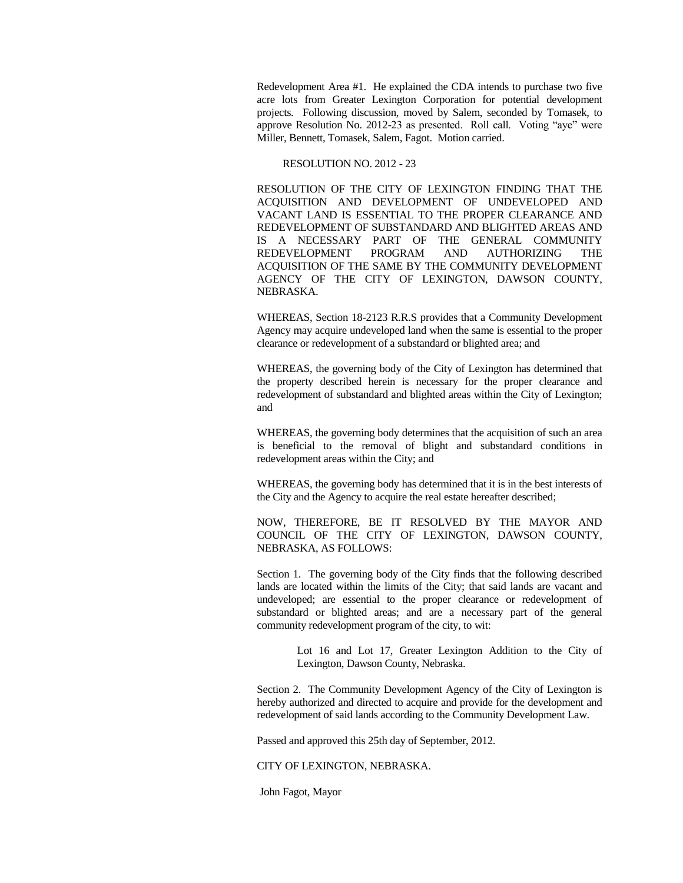Redevelopment Area #1. He explained the CDA intends to purchase two five acre lots from Greater Lexington Corporation for potential development projects. Following discussion, moved by Salem, seconded by Tomasek, to approve Resolution No. 2012-23 as presented. Roll call. Voting "aye" were Miller, Bennett, Tomasek, Salem, Fagot. Motion carried.

### RESOLUTION NO. 2012 - 23

RESOLUTION OF THE CITY OF LEXINGTON FINDING THAT THE ACQUISITION AND DEVELOPMENT OF UNDEVELOPED AND VACANT LAND IS ESSENTIAL TO THE PROPER CLEARANCE AND REDEVELOPMENT OF SUBSTANDARD AND BLIGHTED AREAS AND IS A NECESSARY PART OF THE GENERAL COMMUNITY REDEVELOPMENT PROGRAM AND AUTHORIZING THE ACQUISITION OF THE SAME BY THE COMMUNITY DEVELOPMENT AGENCY OF THE CITY OF LEXINGTON, DAWSON COUNTY, NEBRASKA.

WHEREAS, Section 18-2123 R.R.S provides that a Community Development Agency may acquire undeveloped land when the same is essential to the proper clearance or redevelopment of a substandard or blighted area; and

WHEREAS, the governing body of the City of Lexington has determined that the property described herein is necessary for the proper clearance and redevelopment of substandard and blighted areas within the City of Lexington; and

WHEREAS, the governing body determines that the acquisition of such an area is beneficial to the removal of blight and substandard conditions in redevelopment areas within the City; and

WHEREAS, the governing body has determined that it is in the best interests of the City and the Agency to acquire the real estate hereafter described;

NOW, THEREFORE, BE IT RESOLVED BY THE MAYOR AND COUNCIL OF THE CITY OF LEXINGTON, DAWSON COUNTY, NEBRASKA, AS FOLLOWS:

Section 1. The governing body of the City finds that the following described lands are located within the limits of the City; that said lands are vacant and undeveloped; are essential to the proper clearance or redevelopment of substandard or blighted areas; and are a necessary part of the general community redevelopment program of the city, to wit:

> Lot 16 and Lot 17, Greater Lexington Addition to the City of Lexington, Dawson County, Nebraska.

Section 2. The Community Development Agency of the City of Lexington is hereby authorized and directed to acquire and provide for the development and redevelopment of said lands according to the Community Development Law.

Passed and approved this 25th day of September, 2012.

# CITY OF LEXINGTON, NEBRASKA.

John Fagot, Mayor